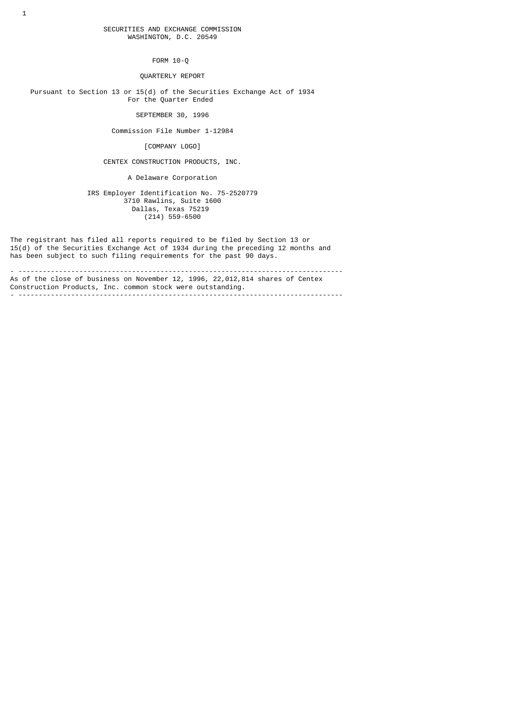FORM 10-Q

QUARTERLY REPORT

 Pursuant to Section 13 or 15(d) of the Securities Exchange Act of 1934 For the Quarter Ended

SEPTEMBER 30, 1996

Commission File Number 1-12984

[COMPANY LOGO]

CENTEX CONSTRUCTION PRODUCTS, INC.

A Delaware Corporation

 IRS Employer Identification No. 75-2520779 3710 Rawlins, Suite 1600 Dallas, Texas 75219  $(214)$  559-6500

The registrant has filed all reports required to be filed by Section 13 or 15(d) of the Securities Exchange Act of 1934 during the preceding 12 months and has been subject to such filing requirements for the past 90 days.

- -------------------------------------------------------------------------------- As of the close of business on November 12, 1996, 22,012,814 shares of Centex Construction Products, Inc. common stock were outstanding. - --------------------------------------------------------------------------------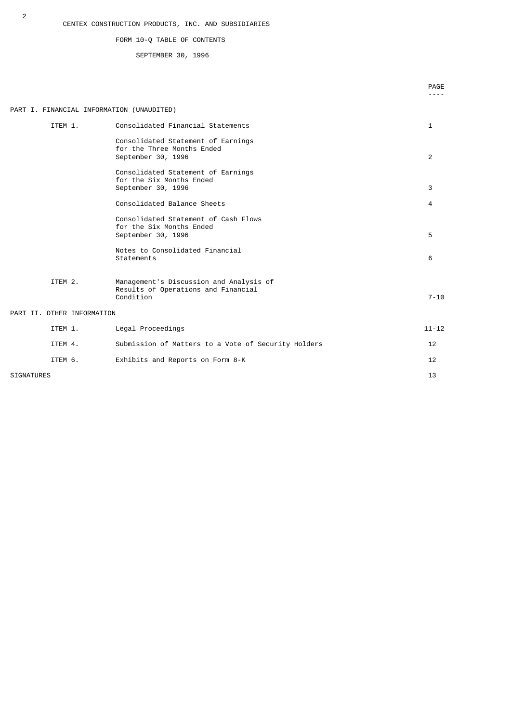# FORM 10-Q TABLE OF CONTENTS

# SEPTEMBER 30, 1996

|                                           |                                                                                             | PAGE              |
|-------------------------------------------|---------------------------------------------------------------------------------------------|-------------------|
| PART I. FINANCIAL INFORMATION (UNAUDITED) |                                                                                             |                   |
| ITEM 1.                                   | Consolidated Financial Statements                                                           | 1                 |
|                                           | Consolidated Statement of Earnings<br>for the Three Months Ended<br>September 30, 1996      | 2                 |
|                                           | Consolidated Statement of Earnings<br>for the Six Months Ended<br>September 30, 1996        | 3                 |
|                                           | Consolidated Balance Sheets                                                                 | 4                 |
|                                           | Consolidated Statement of Cash Flows<br>for the Six Months Ended<br>September 30, 1996      | 5                 |
|                                           | Notes to Consolidated Financial<br>Statements                                               | 6                 |
| ITEM 2.                                   | Management's Discussion and Analysis of<br>Results of Operations and Financial<br>Condition | $7 - 10$          |
| PART II. OTHER INFORMATION                |                                                                                             |                   |
| ITEM 1.                                   | Legal Proceedings                                                                           | $11 - 12$         |
| ITEM 4.                                   | Submission of Matters to a Vote of Security Holders                                         | 12                |
| ITEM 6.                                   | Exhibits and Reports on Form 8-K                                                            | $12 \overline{ }$ |
| <b>SIGNATURES</b>                         |                                                                                             | 13                |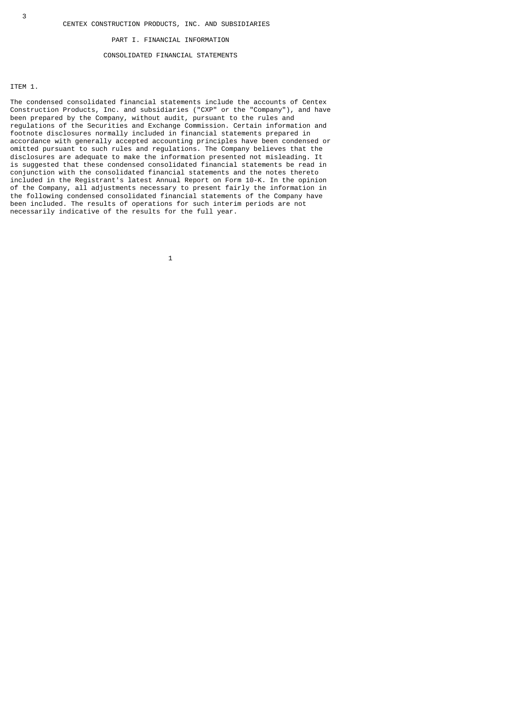#### PART I. FINANCIAL INFORMATION

# CONSOLIDATED FINANCIAL STATEMENTS

ITEM 1.

The condensed consolidated financial statements include the accounts of Centex Construction Products, Inc. and subsidiaries ("CXP" or the "Company"), and have been prepared by the Company, without audit, pursuant to the rules and regulations of the Securities and Exchange Commission. Certain information and footnote disclosures normally included in financial statements prepared in accordance with generally accepted accounting principles have been condensed or omitted pursuant to such rules and regulations. The Company believes that the disclosures are adequate to make the information presented not misleading. It is suggested that these condensed consolidated financial statements be read in conjunction with the consolidated financial statements and the notes thereto included in the Registrant's latest Annual Report on Form 10-K. In the opinion of the Company, all adjustments necessary to present fairly the information in the following condensed consolidated financial statements of the Company have been included. The results of operations for such interim periods are not necessarily indicative of the results for the full year.

 $\sim$  1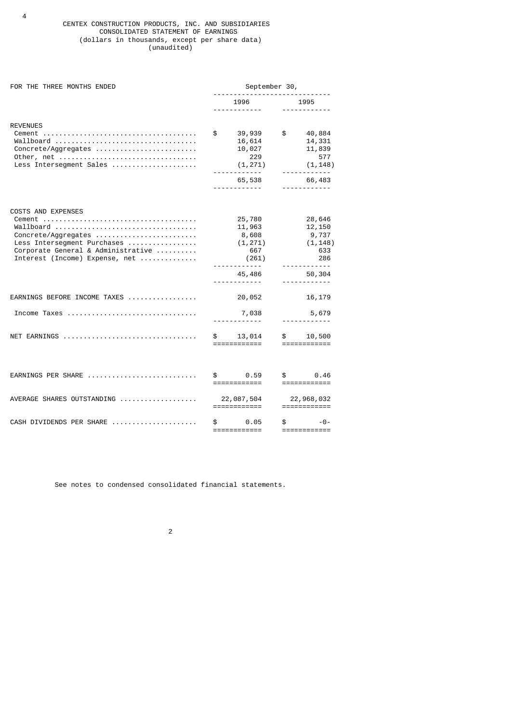# CENTEX CONSTRUCTION PRODUCTS, INC. AND SUBSIDIARIES CONSOLIDATED STATEMENT OF EARNINGS (dollars in thousands, except per share data) (unaudited)

| FOR THE THREE MONTHS ENDED                                                                                                                                           | September 30,                   |                                                                                           |                                 |                                                                                                  |  |  |
|----------------------------------------------------------------------------------------------------------------------------------------------------------------------|---------------------------------|-------------------------------------------------------------------------------------------|---------------------------------|--------------------------------------------------------------------------------------------------|--|--|
|                                                                                                                                                                      |                                 | 1996<br><u>.</u>                                                                          |                                 | 1995<br><u>.</u>                                                                                 |  |  |
| <b>REVENUES</b><br>Wallboard<br>Concrete/Aggregates<br>Less Intersegment Sales                                                                                       |                                 | 39,939<br>16,614<br>10,027<br>229<br>(1, 271)<br>.<br>65,538                              | $\frac{1}{2}$                   | 40,884<br>14,331<br>11,839<br>577<br>(1, 148)<br>------------<br>66,483                          |  |  |
| <b>COSTS AND EXPENSES</b><br>Wallboard<br>Concrete/Aggregates<br>Less Intersegment Purchases<br>Corporate General & Administrative<br>Interest (Income) Expense, net |                                 | <u>.</u> .<br>25,780<br>11,963<br>8,608<br>(1, 271)<br>667<br>(261)<br><u>.</u><br>45,486 |                                 | 28,646<br>12,150<br>9,737<br>(1, 148)<br>633<br>286<br><u> - - - - - - - - - - - -</u><br>50,304 |  |  |
| EARNINGS BEFORE INCOME TAXES<br>Income Taxes                                                                                                                         |                                 | <u>.</u><br>20,052<br>7,038<br><u>.</u> .                                                 |                                 | <u>.</u><br>16,179<br>5,679                                                                      |  |  |
| NET EARNINGS                                                                                                                                                         | $\mathfrak s$ and $\mathfrak s$ | 13,014<br>============                                                                    | $\mathfrak s$ and $\mathfrak s$ | 10,500<br>$=$ ============                                                                       |  |  |
| EARNINGS PER SHARE                                                                                                                                                   | \$                              | 0.59<br>============                                                                      | \$                              | 0.46<br>============                                                                             |  |  |
| AVERAGE SHARES OUTSTANDING                                                                                                                                           |                                 | 22,087,504                                                                                |                                 | 22,968,032<br>============                                                                       |  |  |
| CASH DIVIDENDS PER SHARE                                                                                                                                             | \$                              | 0.05<br>============                                                                      | \$                              | $-0-$<br>============                                                                            |  |  |

See notes to condensed consolidated financial statements.

2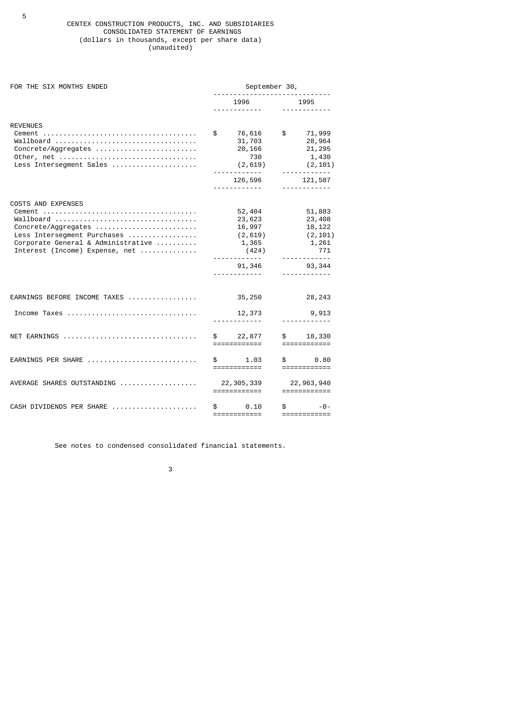# CENTEX CONSTRUCTION PRODUCTS, INC. AND SUBSIDIARIES CONSOLIDATED STATEMENT OF EARNINGS (dollars in thousands, except per share data) (unaudited)

| FOR THE SIX MONTHS ENDED                                                                                                                                             | September 30,                                                                                                |                                                                                                                          |  |  |  |
|----------------------------------------------------------------------------------------------------------------------------------------------------------------------|--------------------------------------------------------------------------------------------------------------|--------------------------------------------------------------------------------------------------------------------------|--|--|--|
|                                                                                                                                                                      | 1996<br><u>.</u>                                                                                             | 1995<br><u>.</u>                                                                                                         |  |  |  |
| <b>REVENUES</b><br>Wallboard<br>Concrete/Aggregates<br>Less Intersegment Sales                                                                                       | \$<br>76,616<br>31,703<br>20,166<br>730<br>(2,619)<br><u> - - - - - - - - - - - -</u><br>126,596<br><u>.</u> | $\frac{1}{2}$<br>71,999<br>28,964<br>21,295<br>1,430<br>(2, 101)<br><u>.</u><br>121,587<br><u> - - - - - - - - - - -</u> |  |  |  |
| <b>COSTS AND EXPENSES</b><br>Wallboard<br>Concrete/Aggregates<br>Less Intersegment Purchases<br>Corporate General & Administrative<br>Interest (Income) Expense, net | 52,404<br>23,623<br>16,997<br>(2, 619)<br>1,365<br>(424)<br>91,346<br><u>.</u>                               | 51,883<br>23,408<br>18,122<br>(2, 101)<br>1,261<br>771<br>.<br>93, 344<br><u>.</u>                                       |  |  |  |
| EARNINGS BEFORE INCOME TAXES                                                                                                                                         | 35,250                                                                                                       | 28,243                                                                                                                   |  |  |  |
| Income Taxes                                                                                                                                                         | 12,373<br><u>.</u>                                                                                           | 9,913<br><u>.</u>                                                                                                        |  |  |  |
| NET EARNINGS                                                                                                                                                         | $\mathfrak s$<br>22,877<br>============                                                                      | $\mathbb S$ .<br>18,330<br>$=$ ============                                                                              |  |  |  |
| EARNINGS PER SHARE                                                                                                                                                   | $\mathbb S$ and $\mathbb S$<br>1.03<br>============                                                          | $\mathbb S$ and $\mathbb S$<br>0.80<br>$=$ ============                                                                  |  |  |  |
| AVERAGE SHARES OUTSTANDING                                                                                                                                           | 22, 305, 339<br>============                                                                                 | 22, 963, 940<br>$=$ ============                                                                                         |  |  |  |
| CASH DIVIDENDS PER SHARE                                                                                                                                             | \$<br>0.10<br>============                                                                                   | \$<br>$-0-$<br>============                                                                                              |  |  |  |

See notes to condensed consolidated financial statements.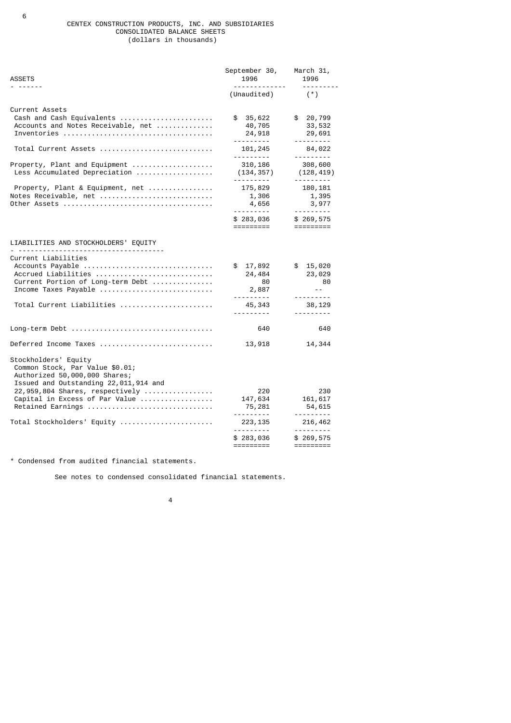## CENTEX CONSTRUCTION PRODUCTS, INC. AND SUBSIDIARIES CONSOLIDATED BALANCE SHEETS (dollars in thousands)

| ASSETS                                                                                                                            | September 30,<br>1996                                                                                                                                                                                                                                                                                                                                                                                                                            | March 31,<br>1996                                      |
|-----------------------------------------------------------------------------------------------------------------------------------|--------------------------------------------------------------------------------------------------------------------------------------------------------------------------------------------------------------------------------------------------------------------------------------------------------------------------------------------------------------------------------------------------------------------------------------------------|--------------------------------------------------------|
|                                                                                                                                   | <u>.</u><br>(Unaudited)                                                                                                                                                                                                                                                                                                                                                                                                                          | <u> - - - - - - - - -</u><br>$(*)$                     |
| Current Assets<br>Cash and Cash Equivalents<br>Accounts and Notes Receivable, net                                                 | \$35,622<br>40,705<br>24,918                                                                                                                                                                                                                                                                                                                                                                                                                     | \$ 20,799<br>33,532<br>29,691                          |
| Total Current Assets                                                                                                              | .<br>101,245<br>.                                                                                                                                                                                                                                                                                                                                                                                                                                | <u>.</u><br>84,022<br><u>.</u>                         |
| Property, Plant and Equipment<br>Less Accumulated Depreciation                                                                    | 310,186<br>(134, 357)<br><u>.</u>                                                                                                                                                                                                                                                                                                                                                                                                                | 308,600<br>(128, 419)<br><u>.</u>                      |
| Property, Plant & Equipment, net<br>Notes Receivable, net                                                                         | 175,829<br>1,306<br>4,656<br><u>.</u>                                                                                                                                                                                                                                                                                                                                                                                                            | 180, 181<br>1,395<br>3,977                             |
|                                                                                                                                   | \$283,036                                                                                                                                                                                                                                                                                                                                                                                                                                        | \$269,575<br>$=$ =========                             |
| LIABILITIES AND STOCKHOLDERS' EQUITY                                                                                              |                                                                                                                                                                                                                                                                                                                                                                                                                                                  |                                                        |
| Current Liabilities<br>Accounts Payable<br>Accrued Liabilities<br>Current Portion of Long-term Debt<br>Income Taxes Payable       | \$ 17,892<br>24,484<br>80<br>2,887<br><u>.</u>                                                                                                                                                                                                                                                                                                                                                                                                   | \$15,020<br>23,029<br>80<br>$\sim$ $\sim$<br>--------- |
| Total Current Liabilities                                                                                                         | 45,343<br><u>.</u>                                                                                                                                                                                                                                                                                                                                                                                                                               | 38,129<br>---------                                    |
|                                                                                                                                   | 640                                                                                                                                                                                                                                                                                                                                                                                                                                              | 640                                                    |
| Deferred Income Taxes                                                                                                             | 13,918                                                                                                                                                                                                                                                                                                                                                                                                                                           | 14,344                                                 |
| Stockholders' Equity<br>Common Stock, Par Value \$0.01;<br>Authorized 50,000,000 Shares;<br>Issued and Outstanding 22,011,914 and |                                                                                                                                                                                                                                                                                                                                                                                                                                                  |                                                        |
| 22,959,804 Shares, respectively<br>Capital in Excess of Par Value<br>Retained Earnings                                            | 220<br>147,634<br>75,281<br><u>.</u>                                                                                                                                                                                                                                                                                                                                                                                                             | 230<br>161,617<br>54,615<br><u>.</u>                   |
| Total Stockholders' Equity                                                                                                        | 223, 135<br><u>.</u>                                                                                                                                                                                                                                                                                                                                                                                                                             | 216,462<br><u>.</u>                                    |
|                                                                                                                                   | \$283,036<br>$\begin{array}{cccccc} \texttt{m} & \texttt{m} & \texttt{m} & \texttt{m} & \texttt{m} & \texttt{m} & \texttt{m} & \texttt{m} & \texttt{m} & \texttt{m} & \texttt{m} & \texttt{m} & \texttt{m} & \texttt{m} & \texttt{m} & \texttt{m} & \texttt{m} & \texttt{m} & \texttt{m} & \texttt{m} & \texttt{m} & \texttt{m} & \texttt{m} & \texttt{m} & \texttt{m} & \texttt{m} & \texttt{m} & \texttt{m} & \texttt{m} & \texttt{m} & \text$ | \$269,575<br>=========                                 |

\* Condensed from audited financial statements.

See notes to condensed consolidated financial statements.

4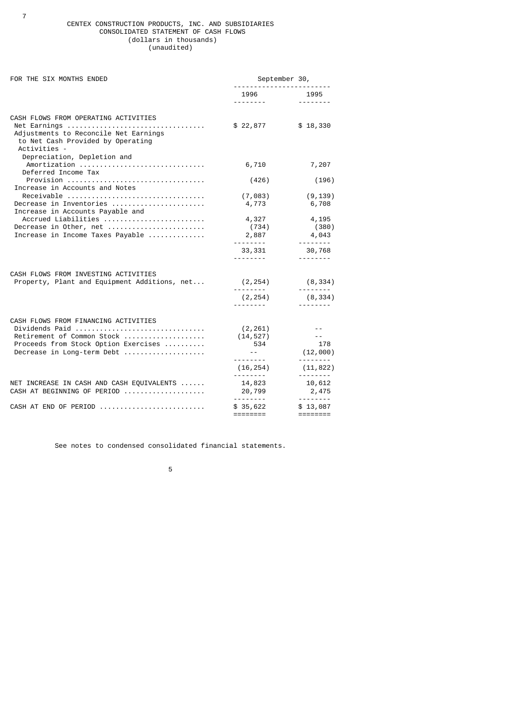### CENTEX CONSTRUCTION PRODUCTS, INC. AND SUBSIDIARIES CONSOLIDATED STATEMENT OF CASH FLOWS (dollars in thousands) (unaudited)

7

| FOR THE SIX MONTHS ENDED                                                                                                                                   | September 30,                                                   |                                              |  |  |
|------------------------------------------------------------------------------------------------------------------------------------------------------------|-----------------------------------------------------------------|----------------------------------------------|--|--|
|                                                                                                                                                            | 1996                                                            | 1995<br><u> - - - - - - - -</u>              |  |  |
| CASH FLOWS FROM OPERATING ACTIVITIES<br>Net Earnings<br>Adjustments to Reconcile Net Earnings<br>to Net Cash Provided by Operating<br>Activities -         | \$22,877                                                        | \$18,330                                     |  |  |
| Depreciation, Depletion and<br>Amortization                                                                                                                | 6,710                                                           | 7,207                                        |  |  |
| Deferred Income Tax<br>Provision<br>Increase in Accounts and Notes                                                                                         | (426)                                                           | (196)                                        |  |  |
| Receivable<br>Decrease in Inventories<br>Increase in Accounts Payable and                                                                                  | (7,083)<br>4,773                                                | (9, 139)<br>6,708                            |  |  |
| Accrued Liabilities<br>Decrease in Other, net<br>Increase in Income Taxes Payable                                                                          | 4,327<br>(734)<br>2,887                                         | 4,195<br>(380)<br>4,043<br>--------          |  |  |
|                                                                                                                                                            | 33,331<br><u>.</u> .                                            | 30,768                                       |  |  |
| CASH FLOWS FROM INVESTING ACTIVITIES<br>Property, Plant and Equipment Additions, net                                                                       | (2, 254)<br>(2, 254)                                            | (8,334)<br>(8, 334)                          |  |  |
| CASH FLOWS FROM FINANCING ACTIVITIES<br>Dividends Paid<br>Retirement of Common Stock<br>Proceeds from Stock Option Exercises<br>Decrease in Long-term Debt | (2, 261)<br>(14, 527)<br>534<br>$\sim$ $  \sim$ $-$<br><u>.</u> | $\sim$ $\sim$<br>178<br>(12,000)<br>-------- |  |  |
|                                                                                                                                                            | (16, 254)<br><u> - - - - - - - - -</u>                          | (11, 822)                                    |  |  |
| NET INCREASE IN CASH AND CASH EQUIVALENTS<br>CASH AT BEGINNING OF PERIOD                                                                                   | 14,823<br>20,799                                                | <u> - - - - - - -</u><br>10,612<br>2,475     |  |  |
| CASH AT END OF PERIOD                                                                                                                                      | <u>.</u><br>\$35,622<br>========                                | <u> - - - - - - -</u><br>\$13,087            |  |  |

See notes to condensed consolidated financial statements.

the contract of the contract of the contract of the contract of the contract of the contract of the contract o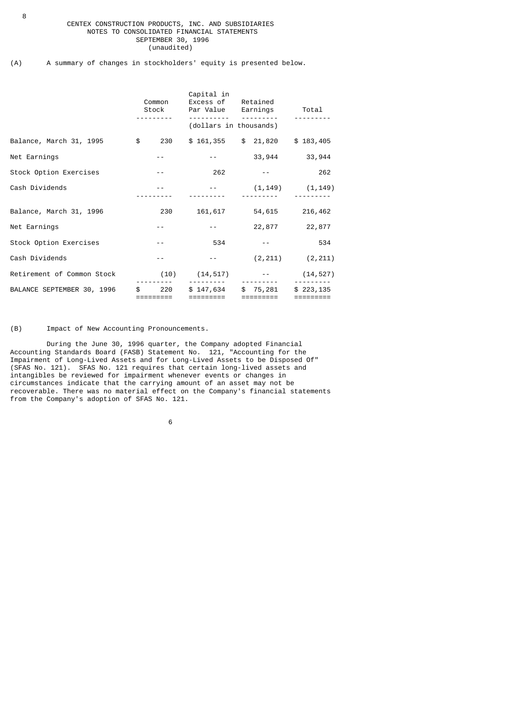# CENTEX CONSTRUCTION PRODUCTS, INC. AND SUBSIDIARIES NOTES TO CONSOLIDATED FINANCIAL STATEMENTS SEPTEMBER 30, 1996 (unaudited)

# (A) A summary of changes in stockholders' equity is presented below.

|                                                                            | Common                      | Capital in<br>Excess of Retained<br>Stock Par Value Earnings Total<br>__________________________ |                               |                                  |
|----------------------------------------------------------------------------|-----------------------------|--------------------------------------------------------------------------------------------------|-------------------------------|----------------------------------|
|                                                                            |                             | (dollars in thousands)                                                                           |                               |                                  |
| Balance, March 31, 1995     \$   230   \$ 161,355   \$ 21,820   \$ 183,405 |                             |                                                                                                  |                               |                                  |
| Net Earnings                                                               | $- -$                       | <b>Alberta Control</b>                                                                           | 33,944 33,944                 |                                  |
| Stock Option Exercises                                                     | $- -$                       |                                                                                                  | $262 - - -$                   | 262                              |
| Cash Dividends                                                             |                             | $-$ (1,149) $(1,149)$                                                                            |                               |                                  |
| Balance, March 31, 1996                                                    |                             | 230 161,617 54,615 216,462                                                                       |                               |                                  |
| Net Earnings                                                               | $\sim$ $\sim$ $ \sim$       | $-22,877$ 22,877                                                                                 |                               |                                  |
| Stock Option Exercises                                                     | $\sim$ $\sim$ $ \sim$       | 534                                                                                              | and the state of the state of | 534                              |
| Cash Dividends                                                             | $ -$                        | $\sim$ $\sim$ $ \sim$                                                                            | $(2, 211)$ $(2, 211)$         |                                  |
| Retirement of Common Stock (10) (14,517) -- (14,527)                       |                             |                                                                                                  | <u>.</u> .                    |                                  |
| BALANCE SEPTEMBER 30, 1996                                                 | $\frac{1}{20}$<br>========= | $$147,634$ $$75,281$<br>=========                                                                | =========                     | \$223,135<br>$=$ = = = = = = = = |

# (B) Impact of New Accounting Pronouncements.

 During the June 30, 1996 quarter, the Company adopted Financial Accounting Standards Board (FASB) Statement No. 121, "Accounting for the Impairment of Long-Lived Assets and for Long-Lived Assets to be Disposed Of" (SFAS No. 121). SFAS No. 121 requires that certain long-lived assets and intangibles be reviewed for impairment whenever events or changes in circumstances indicate that the carrying amount of an asset may not be recoverable. There was no material effect on the Company's financial statements from the Company's adoption of SFAS No. 121.

 $\sim$  6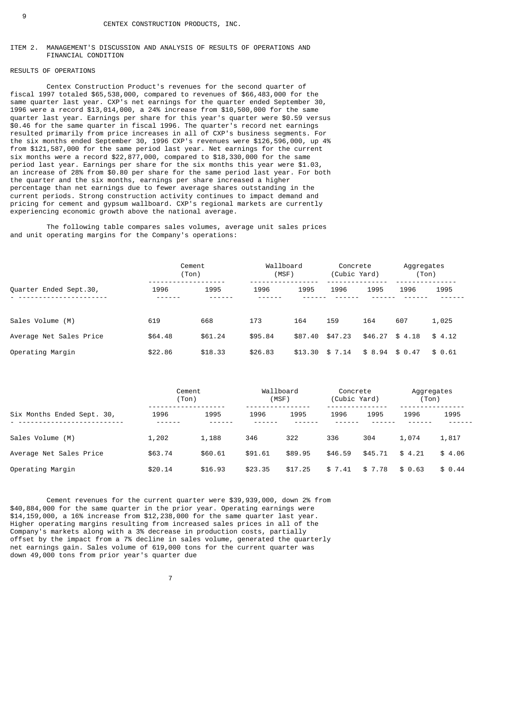### ITEM 2. MANAGEMENT'S DISCUSSION AND ANALYSIS OF RESULTS OF OPERATIONS AND FINANCIAL CONDITION

# RESULTS OF OPERATIONS

 Centex Construction Product's revenues for the second quarter of fiscal 1997 totaled \$65,538,000, compared to revenues of \$66,483,000 for the same quarter last year. CXP's net earnings for the quarter ended September 30, 1996 were a record \$13,014,000, a 24% increase from \$10,500,000 for the same quarter last year. Earnings per share for this year's quarter were \$0.59 versus \$0.46 for the same quarter in fiscal 1996. The quarter's record net earnings resulted primarily from price increases in all of CXP's business segments. For the six months ended September 30, 1996 CXP's revenues were \$126,596,000, up 4% from \$121,587,000 for the same period last year. Net earnings for the current six months were a record \$22,877,000, compared to \$18,330,000 for the same period last year. Earnings per share for the six months this year were \$1.03, an increase of 28% from \$0.80 per share for the same period last year. For both the quarter and the six months, earnings per share increased a higher percentage than net earnings due to fewer average shares outstanding in the current periods. Strong construction activity continues to impact demand and pricing for cement and gypsum wallboard. CXP's regional markets are currently experiencing economic growth above the national average.

 The following table compares sales volumes, average unit sales prices and unit operating margins for the Company's operations:

|                         | Cement<br>(Ton) |         | Wallboard<br>(MSF) |         | Concrete<br>(Cubic Yard) |         | Aggregates<br>(Ton) |        |
|-------------------------|-----------------|---------|--------------------|---------|--------------------------|---------|---------------------|--------|
| Quarter Ended Sept.30,  | 1996            | 1995    | 1996               | 1995    | 1996                     | 1995    | 1996                | 1995   |
| Sales Volume (M)        | 619             | 668     | 173                | 164     | 159                      | 164     | 607                 | 1,025  |
| Average Net Sales Price | \$64,48         | \$61.24 | \$95.84            | \$87.40 | \$47.23                  | \$46.27 | \$4.18              | \$4.12 |
| Operating Margin        | \$22.86         | \$18.33 | \$26.83            | \$13.30 | \$7.14                   | \$8.94  | \$0.47              | \$0.61 |

|                            |         | Cement<br>(Ton) |         | Wallboard<br>(MSF) |         | Concrete<br>(Cubic Yard) |        | Aggregates<br>(Ton |
|----------------------------|---------|-----------------|---------|--------------------|---------|--------------------------|--------|--------------------|
| Six Months Ended Sept. 30, | 1996    | 1995            | 1996    | 1995               | 1996    | 1995                     | 1996   | 1995               |
| Sales Volume (M)           | 1,202   | 1,188           | 346     | 322                | 336     | 304                      | 1,074  | 1,817              |
| Average Net Sales Price    | \$63.74 | \$60.61         | \$91.61 | \$89.95            | \$46.59 | \$45.71                  | \$4.21 | \$4.06             |
| Operating Margin           | \$20.14 | \$16.93         | \$23.35 | \$17.25            | \$7.41  | \$7.78                   | \$0.63 | \$0.44             |

 Cement revenues for the current quarter were \$39,939,000, down 2% from \$40,884,000 for the same quarter in the prior year. Operating earnings were \$14,159,000, a 16% increase from \$12,238,000 for the same quarter last year. Higher operating margins resulting from increased sales prices in all of the Company's markets along with a 3% decrease in production costs, partially offset by the impact from a 7% decline in sales volume, generated the quarterly net earnings gain. Sales volume of 619,000 tons for the current quarter was down 49,000 tons from prior year's quarter due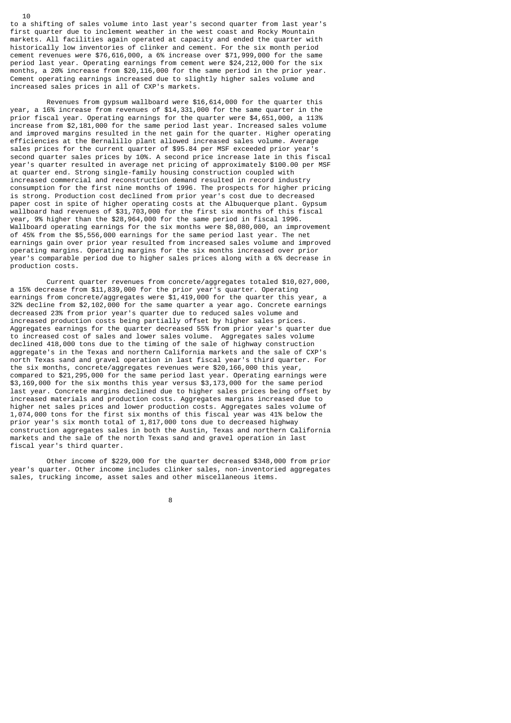to a shifting of sales volume into last year's second quarter from last year's first quarter due to inclement weather in the west coast and Rocky Mountain markets. All facilities again operated at capacity and ended the quarter with historically low inventories of clinker and cement. For the six month period cement revenues were \$76,616,000, a 6% increase over \$71,999,000 for the same period last year. Operating earnings from cement were \$24,212,000 for the six months, a 20% increase from \$20,116,000 for the same period in the prior year. Cement operating earnings increased due to slightly higher sales volume and increased sales prices in all of CXP's markets.

10

 Revenues from gypsum wallboard were \$16,614,000 for the quarter this year, a 16% increase from revenues of \$14,331,000 for the same quarter in the prior fiscal year. Operating earnings for the quarter were \$4,651,000, a 113% increase from \$2,181,000 for the same period last year. Increased sales volume and improved margins resulted in the net gain for the quarter. Higher operating efficiencies at the Bernalillo plant allowed increased sales volume. Average sales prices for the current quarter of \$95.84 per MSF exceeded prior year<sup>1</sup> second quarter sales prices by 10%. A second price increase late in this fiscal year's quarter resulted in average net pricing of approximately \$100.00 per MSF at quarter end. Strong single-family housing construction coupled with increased commercial and reconstruction demand resulted in record industry consumption for the first nine months of 1996. The prospects for higher pricing is strong. Production cost declined from prior year's cost due to decreased paper cost in spite of higher operating costs at the Albuquerque plant. Gypsum wallboard had revenues of \$31,703,000 for the first six months of this fiscal year, 9% higher than the \$28,964,000 for the same period in fiscal 1996. Wallboard operating earnings for the six months were \$8,080,000, an improvement of 45% from the \$5,556,000 earnings for the same period last year. The net earnings gain over prior year resulted from increased sales volume and improved operating margins. Operating margins for the six months increased over prior year's comparable period due to higher sales prices along with a 6% decrease in production costs.

 Current quarter revenues from concrete/aggregates totaled \$10,027,000, a 15% decrease from \$11,839,000 for the prior year's quarter. Operating earnings from concrete/aggregates were \$1,419,000 for the quarter this year, a 32% decline from \$2,102,000 for the same quarter a year ago. Concrete earnings decreased 23% from prior year's quarter due to reduced sales volume and increased production costs being partially offset by higher sales prices. Aggregates earnings for the quarter decreased 55% from prior year's quarter due to increased cost of sales and lower sales volume. Aggregates sales volume declined 418,000 tons due to the timing of the sale of highway construction aggregate's in the Texas and northern California markets and the sale of CXP's north Texas sand and gravel operation in last fiscal year's third quarter. For the six months, concrete/aggregates revenues were \$20,166,000 this year, compared to \$21,295,000 for the same period last year. Operating earnings were \$3,169,000 for the six months this year versus \$3,173,000 for the same period last year. Concrete margins declined due to higher sales prices being offset by increased materials and production costs. Aggregates margins increased due to higher net sales prices and lower production costs. Aggregates sales volume of 1,074,000 tons for the first six months of this fiscal year was 41% below the prior year's six month total of 1,817,000 tons due to decreased highway construction aggregates sales in both the Austin, Texas and northern California markets and the sale of the north Texas sand and gravel operation in last fiscal year's third quarter.

 Other income of \$229,000 for the quarter decreased \$348,000 from prior year's quarter. Other income includes clinker sales, non-inventoried aggregates sales, trucking income, asset sales and other miscellaneous items.

en andere andere andere andere andere andere andere andere andere andere andere andere andere andere andere an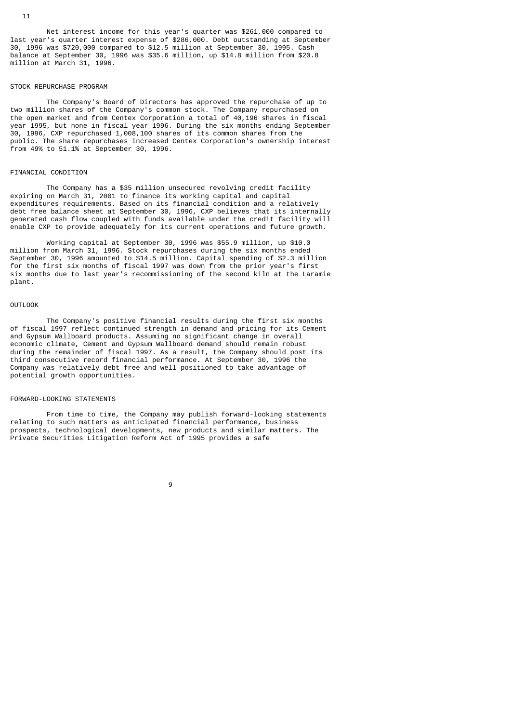#### STOCK REPURCHASE PROGRAM

million at March 31, 1996.

11

 The Company's Board of Directors has approved the repurchase of up to two million shares of the Company's common stock. The Company repurchased on the open market and from Centex Corporation a total of 40,196 shares in fiscal year 1995, but none in fiscal year 1996. During the six months ending September 30, 1996, CXP repurchased 1,008,100 shares of its common shares from the public. The share repurchases increased Centex Corporation's ownership interest from 49% to 51.1% at September 30, 1996.

balance at September 30, 1996 was \$35.6 million, up \$14.8 million from \$20.8

### FINANCIAL CONDITION

 The Company has a \$35 million unsecured revolving credit facility expiring on March 31, 2001 to finance its working capital and capital expenditures requirements. Based on its financial condition and a relatively debt free balance sheet at September 30, 1996, CXP believes that its internally generated cash flow coupled with funds available under the credit facility will enable CXP to provide adequately for its current operations and future growth.

 Working capital at September 30, 1996 was \$55.9 million, up \$10.0 million from March 31, 1996. Stock repurchases during the six months ended September 30, 1996 amounted to \$14.5 million. Capital spending of \$2.3 million for the first six months of fiscal 1997 was down from the prior year's first six months due to last year's recommissioning of the second kiln at the Laramie plant.

#### OUTLOOK

 The Company's positive financial results during the first six months of fiscal 1997 reflect continued strength in demand and pricing for its Cement and Gypsum Wallboard products. Assuming no significant change in overall economic climate, Cement and Gypsum Wallboard demand should remain robust during the remainder of fiscal 1997. As a result, the Company should post its third consecutive record financial performance. At September 30, 1996 the Company was relatively debt free and well positioned to take advantage of potential growth opportunities.

# FORWARD-LOOKING STATEMENTS

 From time to time, the Company may publish forward-looking statements relating to such matters as anticipated financial performance, business prospects, technological developments, new products and similar matters. The Private Securities Litigation Reform Act of 1995 provides a safe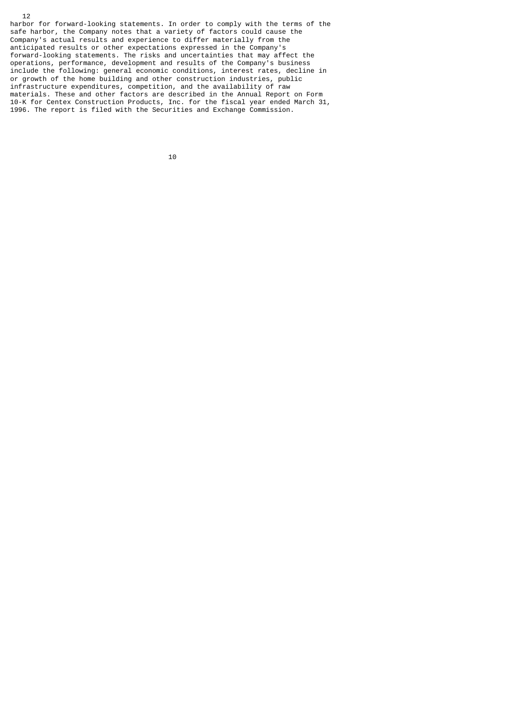harbor for forward-looking statements. In order to comply with the terms of the safe harbor, the Company notes that a variety of factors could cause the Company's actual results and experience to differ materially from the anticipated results or other expectations expressed in the Company's forward-looking statements. The risks and uncertainties that may affect the operations, performance, development and results of the Company's business include the following: general economic conditions, interest rates, decline in or growth of the home building and other construction industries, public infrastructure expenditures, competition, and the availability of raw materials. These and other factors are described in the Annual Report on Form 10-K for Centex Construction Products, Inc. for the fiscal year ended March 31, 1996. The report is filed with the Securities and Exchange Commission.

10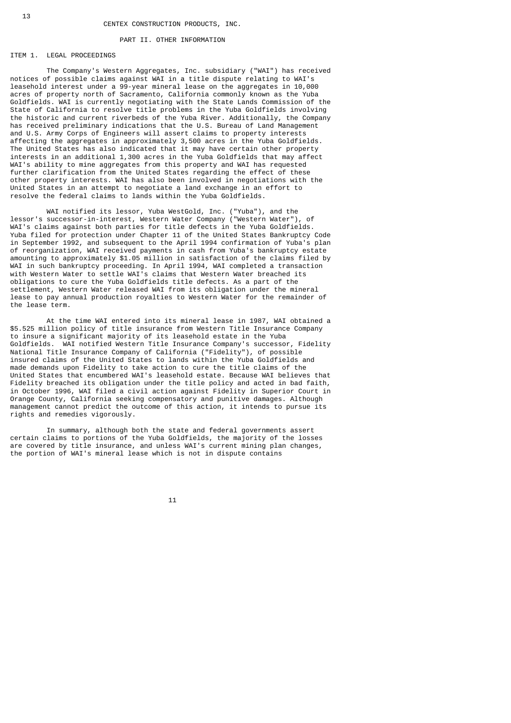#### PART II. OTHER INFORMATION

## ITEM 1. LEGAL PROCEEDINGS

 The Company's Western Aggregates, Inc. subsidiary ("WAI") has received notices of possible claims against WAI in a title dispute relating to WAI's leasehold interest under a 99-year mineral lease on the aggregates in 10,000 acres of property north of Sacramento, California commonly known as the Yuba Goldfields. WAI is currently negotiating with the State Lands Commission of the State of California to resolve title problems in the Yuba Goldfields involving the historic and current riverbeds of the Yuba River. Additionally, the Company has received preliminary indications that the U.S. Bureau of Land Management and U.S. Army Corps of Engineers will assert claims to property interests affecting the aggregates in approximately 3,500 acres in the Yuba Goldfields. The United States has also indicated that it may have certain other property interests in an additional 1,300 acres in the Yuba Goldfields that may affect WAI's ability to mine aggregates from this property and WAI has requested further clarification from the United States regarding the effect of these other property interests. WAI has also been involved in negotiations with the United States in an attempt to negotiate a land exchange in an effort to resolve the federal claims to lands within the Yuba Goldfields.

 WAI notified its lessor, Yuba WestGold, Inc. ("Yuba"), and the lessor's successor-in-interest, Western Water Company ("Western Water"), of WAI's claims against both parties for title defects in the Yuba Goldfields. Yuba filed for protection under Chapter 11 of the United States Bankruptcy Code in September 1992, and subsequent to the April 1994 confirmation of Yuba's plan of reorganization, WAI received payments in cash from Yuba's bankruptcy estate amounting to approximately \$1.05 million in satisfaction of the claims filed by WAI in such bankruptcy proceeding. In April 1994, WAI completed a transaction with Western Water to settle WAI's claims that Western Water breached its obligations to cure the Yuba Goldfields title defects. As a part of the settlement, Western Water released WAI from its obligation under the mineral lease to pay annual production royalties to Western Water for the remainder of the lease term.

 At the time WAI entered into its mineral lease in 1987, WAI obtained a \$5.525 million policy of title insurance from Western Title Insurance Company to insure a significant majority of its leasehold estate in the Yuba Goldfields. WAI notified Western Title Insurance Company's successor, Fidelity National Title Insurance Company of California ("Fidelity"), of possible insured claims of the United States to lands within the Yuba Goldfields and made demands upon Fidelity to take action to cure the title claims of the United States that encumbered WAI's leasehold estate. Because WAI believes that Fidelity breached its obligation under the title policy and acted in bad faith, in October 1996, WAI filed a civil action against Fidelity in Superior Court in Orange County, California seeking compensatory and punitive damages. Although management cannot predict the outcome of this action, it intends to pursue its rights and remedies vigorously.

 In summary, although both the state and federal governments assert certain claims to portions of the Yuba Goldfields, the majority of the losses are covered by title insurance, and unless WAI's current mining plan changes, the portion of WAI's mineral lease which is not in dispute contains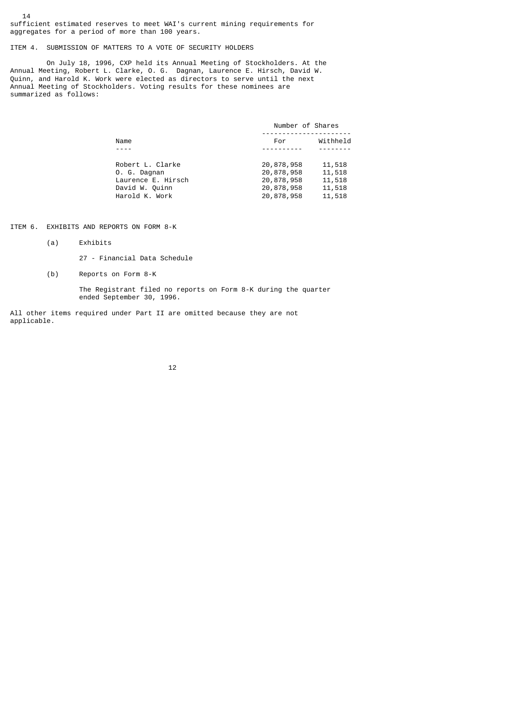14 sufficient estimated reserves to meet WAI's current mining requirements for aggregates for a period of more than 100 years.

ITEM 4. SUBMISSION OF MATTERS TO A VOTE OF SECURITY HOLDERS

 On July 18, 1996, CXP held its Annual Meeting of Stockholders. At the Annual Meeting, Robert L. Clarke, O. G. Dagnan, Laurence E. Hirsch, David W. Quinn, and Harold K. Work were elected as directors to serve until the next Annual Meeting of Stockholders. Voting results for these nominees are summarized as follows:

|                    | Number of Shares |          |  |
|--------------------|------------------|----------|--|
| Name               | For              | Withheld |  |
|                    |                  |          |  |
| Robert L. Clarke   | 20,878,958       | 11,518   |  |
| 0. G. Dagnan       | 20,878,958       | 11,518   |  |
| Laurence E. Hirsch | 20,878,958       | 11,518   |  |
| David W. Quinn     | 20,878,958       | 11,518   |  |
| Harold K. Work     | 20,878,958       | 11,518   |  |

ITEM 6. EXHIBITS AND REPORTS ON FORM 8-K

(a) Exhibits

27 - Financial Data Schedule

(b) Reports on Form 8-K

 The Registrant filed no reports on Form 8-K during the quarter ended September 30, 1996.

All other items required under Part II are omitted because they are not applicable.

12 and 12 and 12 and 12 and 12 and 12 and 12 and 12 and 12 and 12 and 12 and 12 and 12 and 12 and 12 and 12 an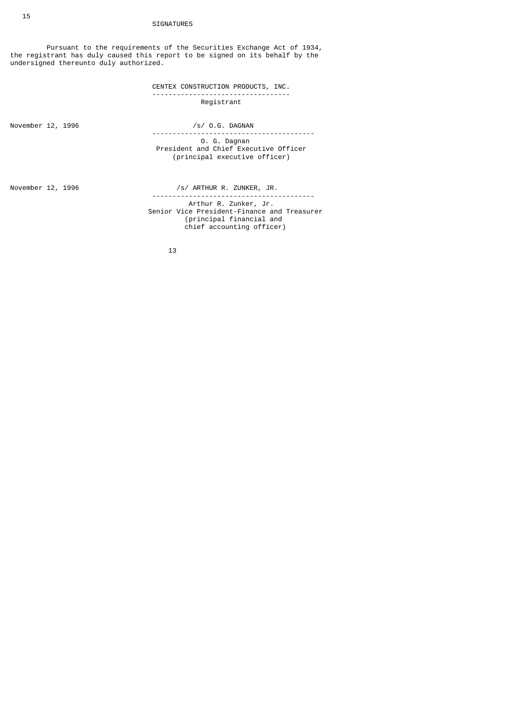# SIGNATURES

 Pursuant to the requirements of the Securities Exchange Act of 1934, the registrant has duly caused this report to be signed on its behalf by the undersigned thereunto duly authorized.

> CENTEX CONSTRUCTION PRODUCTS, INC. ---------------------------------- Registrant

November 12, 1996 /s/ 0.G. DAGNAN

 ---------------------------------------- O. G. Dagnan President and Chief Executive Officer (principal executive officer)

November 12, 1996 /s/ ARTHUR R. ZUNKER, JR. ---------------------------------------- Arthur R. Zunker, Jr. Senior Vice President-Finance and Treasurer (principal financial and chief accounting officer)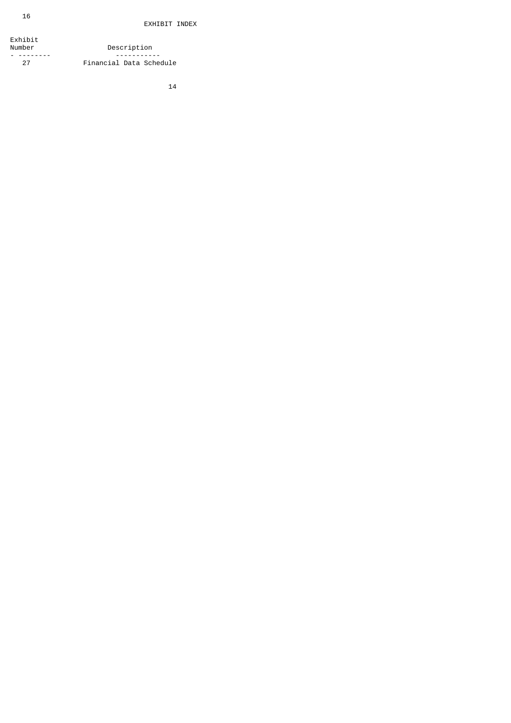Exhibit Number Description - -------- ----------- 27 Financial Data Schedule